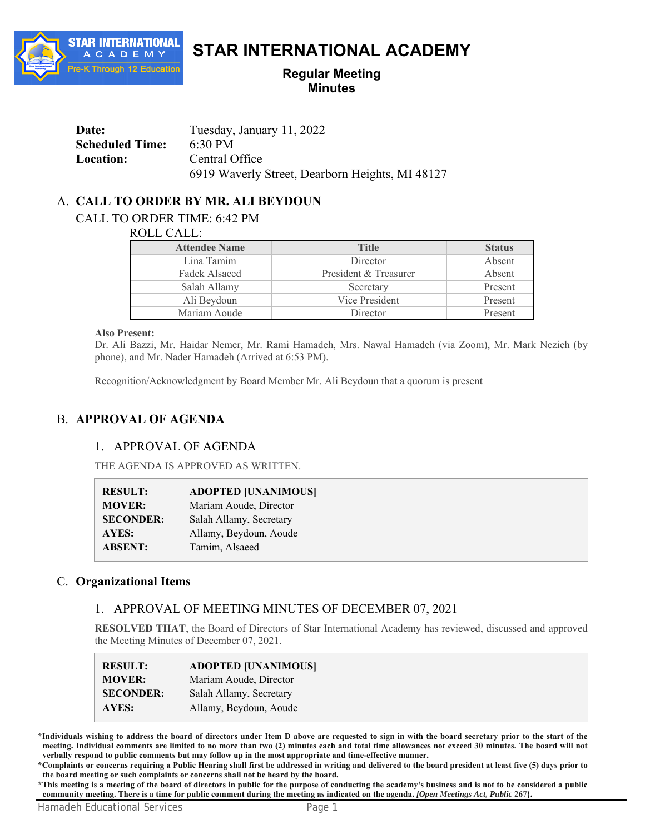

# **STAR INTERNATIONAL ACADEMY**

# **Regular Meeting Minutes**

| Date:                  | Tuesday, January 11, 2022                       |
|------------------------|-------------------------------------------------|
| <b>Scheduled Time:</b> | 6:30 PM                                         |
| <b>Location:</b>       | Central Office                                  |
|                        | 6919 Waverly Street, Dearborn Heights, MI 48127 |

# A. **CALL TO ORDER BY MR. ALI BEYDOUN**

CALL TO ORDER TIME: 6:42 PM

ROLL CALL:

| <b>Attendee Name</b> | <b>Title</b>          | <b>Status</b> |
|----------------------|-----------------------|---------------|
| Lina Tamim           | Director              | Absent        |
| Fadek Alsaeed        | President & Treasurer | Absent        |
| Salah Allamy         | Secretary             | Present       |
| Ali Beydoun          | Vice President        | Present       |
| Mariam Aoude         | Director              | Present       |

#### **Also Present:**

Dr. Ali Bazzi, Mr. Haidar Nemer, Mr. Rami Hamadeh, Mrs. Nawal Hamadeh (via Zoom), Mr. Mark Nezich (by phone), and Mr. Nader Hamadeh (Arrived at 6:53 PM).

Recognition/Acknowledgment by Board Member Mr. Ali Beydoun that a quorum is present

# B. **APPROVAL OF AGENDA**

# 1. APPROVAL OF AGENDA

THE AGENDA IS APPROVED AS WRITTEN.

| <b>RESULT:</b>   | <b>ADOPTED [UNANIMOUS]</b> |
|------------------|----------------------------|
| <b>MOVER:</b>    | Mariam Aoude, Director     |
| <b>SECONDER:</b> | Salah Allamy, Secretary    |
| AYES:            | Allamy, Beydoun, Aoude     |
| <b>ABSENT:</b>   | Tamim, Alsaeed             |

# C. **Organizational Items**

 $\overline{\phantom{a}}$ 

# 1. APPROVAL OF MEETING MINUTES OF DECEMBER 07, 2021

**RESOLVED THAT**, the Board of Directors of Star International Academy has reviewed, discussed and approved the Meeting Minutes of December 07, 2021.

| <b>RESULT:</b>   | <b>ADOPTED [UNANIMOUS]</b> |
|------------------|----------------------------|
| <b>MOVER:</b>    | Mariam Aoude, Director     |
| <b>SECONDER:</b> | Salah Allamy, Secretary    |
| AYES:            | Allamy, Beydoun, Aoude     |

**\*Individuals wishing to address the board of directors under Item D above are requested to sign in with the board secretary prior to the start of the meeting. Individual comments are limited to no more than two (2) minutes each and total time allowances not exceed 30 minutes. The board will not verbally respond to public comments but may follow up in the most appropriate and time-effective manner.**

**\*Complaints or concerns requiring a Public Hearing shall first be addressed in writing and delivered to the board president at least five (5) days prior to the board meeting or such complaints or concerns shall not be heard by the board.**

**\*This meeting is a meeting of the board of directors in public for the purpose of conducting the academy's business and is not to be considered a public community meeting. There is a time for public comment during the meeting as indicated on the agenda.** *[Open Meetings Act, Public* **267}.**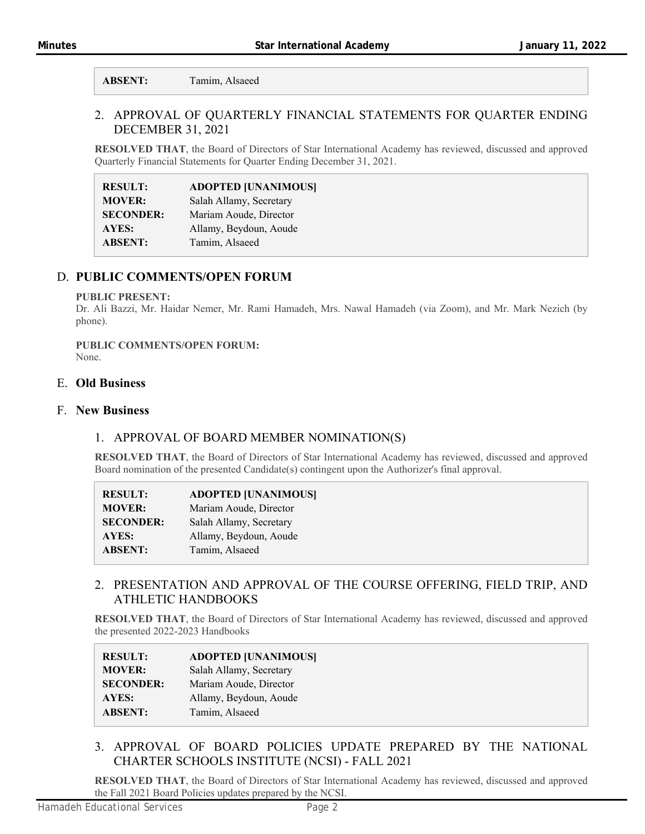**ABSENT:** Tamim, Alsaeed

# 2. APPROVAL OF QUARTERLY FINANCIAL STATEMENTS FOR QUARTER ENDING DECEMBER 31, 2021

**RESOLVED THAT**, the Board of Directors of Star International Academy has reviewed, discussed and approved Quarterly Financial Statements for Quarter Ending December 31, 2021.

| <b>RESULT:</b>   | <b>ADOPTED [UNANIMOUS]</b> |
|------------------|----------------------------|
| <b>MOVER:</b>    | Salah Allamy, Secretary    |
| <b>SECONDER:</b> | Mariam Aoude, Director     |
| AYES:            | Allamy, Beydoun, Aoude     |
| <b>ABSENT:</b>   | Tamim, Alsaeed             |

# D. **PUBLIC COMMENTS/OPEN FORUM**

#### **PUBLIC PRESENT:**

Dr. Ali Bazzi, Mr. Haidar Nemer, Mr. Rami Hamadeh, Mrs. Nawal Hamadeh (via Zoom), and Mr. Mark Nezich (by phone).

# **PUBLIC COMMENTS/OPEN FORUM:**

None.

## E. **Old Business**

### F. **New Business**

# 1. APPROVAL OF BOARD MEMBER NOMINATION(S)

**RESOLVED THAT**, the Board of Directors of Star International Academy has reviewed, discussed and approved Board nomination of the presented Candidate(s) contingent upon the Authorizer's final approval.

| <b>RESULT:</b>   | <b>ADOPTED [UNANIMOUS]</b> |
|------------------|----------------------------|
| <b>MOVER:</b>    | Mariam Aoude, Director     |
| <b>SECONDER:</b> | Salah Allamy, Secretary    |
| AYES:            | Allamy, Beydoun, Aoude     |
| <b>ABSENT:</b>   | Tamim, Alsaeed             |

# 2. PRESENTATION AND APPROVAL OF THE COURSE OFFERING, FIELD TRIP, AND ATHLETIC HANDBOOKS

**RESOLVED THAT**, the Board of Directors of Star International Academy has reviewed, discussed and approved the presented 2022-2023 Handbooks

| <b>RESULT:</b>   | <b>ADOPTED [UNANIMOUS]</b> |
|------------------|----------------------------|
| <b>MOVER:</b>    | Salah Allamy, Secretary    |
| <b>SECONDER:</b> | Mariam Aoude, Director     |
| AYES:            | Allamy, Beydoun, Aoude     |
| <b>ABSENT:</b>   | Tamim, Alsaeed             |

# 3. APPROVAL OF BOARD POLICIES UPDATE PREPARED BY THE NATIONAL CHARTER SCHOOLS INSTITUTE (NCSI) - FALL 2021

**RESOLVED THAT**, the Board of Directors of Star International Academy has reviewed, discussed and approved the Fall 2021 Board Policies updates prepared by the NCSI.